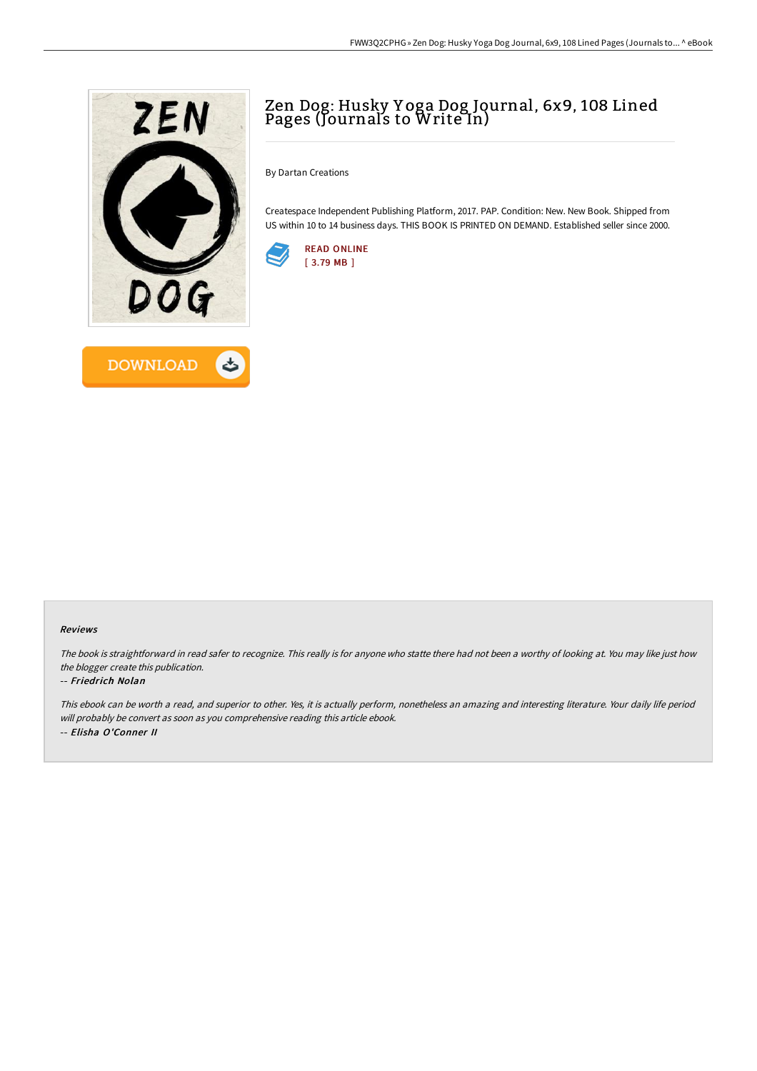

## Zen Dog: Husky Y oga Dog Journal, 6x9, 108 Lined Pages (Journals to Write In)

By Dartan Creations

Createspace Independent Publishing Platform, 2017. PAP. Condition: New. New Book. Shipped from US within 10 to 14 business days. THIS BOOK IS PRINTED ON DEMAND. Established seller since 2000.



## Reviews

The book is straightforward in read safer to recognize. This really is for anyone who statte there had not been <sup>a</sup> worthy of looking at. You may like just how the blogger create this publication.

## -- Friedrich Nolan

This ebook can be worth <sup>a</sup> read, and superior to other. Yes, it is actually perform, nonetheless an amazing and interesting literature. Your daily life period will probably be convert as soon as you comprehensive reading this article ebook. -- Elisha O'Conner II